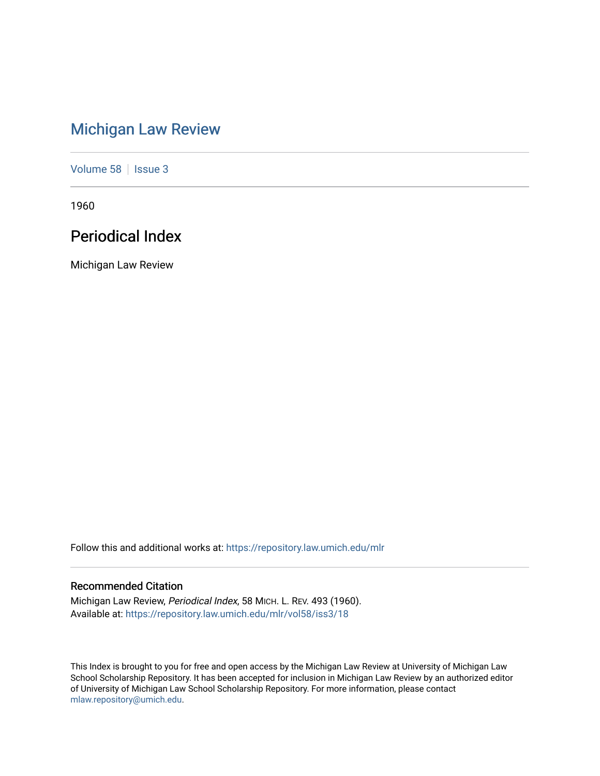# [Michigan Law Review](https://repository.law.umich.edu/mlr)

[Volume 58](https://repository.law.umich.edu/mlr/vol58) | [Issue 3](https://repository.law.umich.edu/mlr/vol58/iss3)

1960

# Periodical Index

Michigan Law Review

Follow this and additional works at: [https://repository.law.umich.edu/mlr](https://repository.law.umich.edu/mlr?utm_source=repository.law.umich.edu%2Fmlr%2Fvol58%2Fiss3%2F18&utm_medium=PDF&utm_campaign=PDFCoverPages) 

# Recommended Citation

Michigan Law Review, Periodical Index, 58 MICH. L. REV. 493 (1960). Available at: [https://repository.law.umich.edu/mlr/vol58/iss3/18](https://repository.law.umich.edu/mlr/vol58/iss3/18?utm_source=repository.law.umich.edu%2Fmlr%2Fvol58%2Fiss3%2F18&utm_medium=PDF&utm_campaign=PDFCoverPages) 

This Index is brought to you for free and open access by the Michigan Law Review at University of Michigan Law School Scholarship Repository. It has been accepted for inclusion in Michigan Law Review by an authorized editor of University of Michigan Law School Scholarship Repository. For more information, please contact [mlaw.repository@umich.edu.](mailto:mlaw.repository@umich.edu)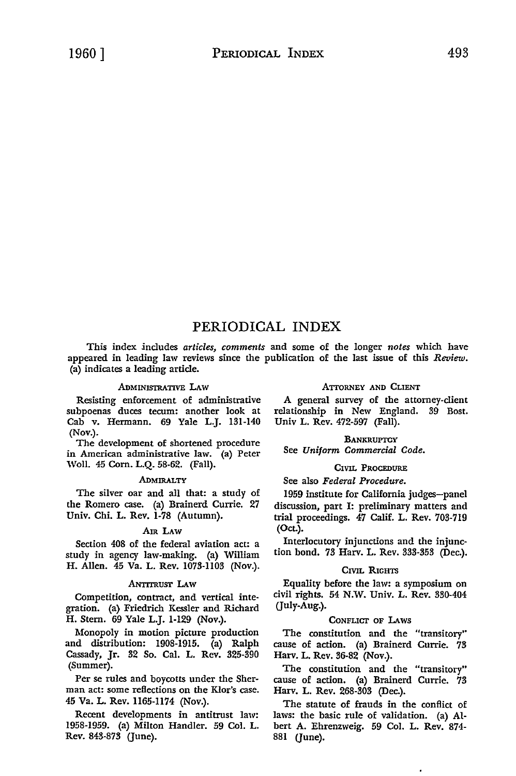# PERIODICAL INDEX

This index includes *articles, comments* and some of the longer *notes* which have appeared in leading law reviews since the publication of the last issue of this *Review.*  (a) indicates a leading article.

# ADMINISTRATIVE LAW

Resisting enforcement of administrative subpoenas duces tecum: another look at Cab v. Hermann. 69 Yale L.J. 131-140 (Nov.).

The development of shortened procedure in American administrative law. (a) Peter Woll. 45 Corn. L.Q. 58-62. (Fall).

#### **ADMIRALTY**

The silver oar and all that: a study of the Romero case. (a) Brainerd Currie. 27 Univ. Chi. L. Rev. 1-78 (Autumn).

# Am LAW

Section 408 of the federal aviation act: a study in agency law-making. (a) William H. Allen. 45 Va. L. Rev. 1073-1103 (Nov.).

#### ANTITRUST LAW

Competition, contract, and vertical integration. (a) Friedrich Kessler and Richard H. Stern. 69 Yale L.J. 1-129 (Nov.).

Monopoly in motion picture production and distribution: 1908-1915. (a) Ralph Cassady, Jr. 32 So. Cal. L. Rev. 325-390 (Summer).

Per se rules and boycotts under the Sherman act: some reflections on the Klor's case. 45 Va. L. Rev. 1165-1174 (Nov.).

Recent developments in antitrust law: 1958-1959. (a) Milton Handler. 59 Col. L. Rev. 843-873 (June).

# ATTORNEY AND CLIENT

A general survey of the attorney-client relationship in New England. 39 Bost. Univ L. Rev. 472-597 (Fall).

**BANKRUPTCY** See *Uniform Commercial Code.* 

# CIVIL PROCEDURE

# See also *Federal Procedure.*

1959 institute for California judges-panel discussion, part I: preliminary matters and trial proceedings. 47 Calif. L. Rev. 703-719 (Oct.).

Interlocutory injunctions and the injunction bond. 73 Harv. L. Rev. 333-353 (Dec.).

# CIVIL RIGHTS

Equality before the law: a symposium on civil rights. 54 N.W. Univ. L. Rev. 330-404 Guly-Aug.).

# CoNFLICT OF LAws

The constitution and the "transitory" cause of action. (a) Brainerd Currie. 73 Harv. L. Rev. 36-82 (Nov.).

The constitution and the "transitory" cause of action. (a) Brainerd Currie. 73 Harv. L. Rev. 268-303 (Dec.).

The statute of frauds in the conflict of laws: the basic rule of validation. (a) Albert A. Ehrenzweig. 59 Col. L. Rev. 874- 881 (June).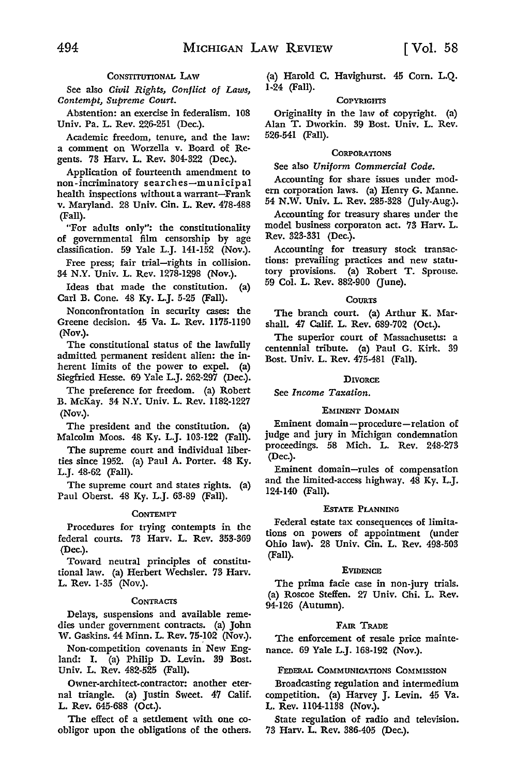# CONSTITUTIONAL LAW

See also *Civil Rights, Conflict of Laws, Contempt, Supreme Court.* 

Abstention: an exercise in federalism. 108 Univ. Pa. L. Rev. 226-251 (Dec.).

Academic freedom, tenure, and the law: a comment on Worzella v. Board of Regents. 73 Harv. L. Rev. 304-322 (Dec.).

Application of fourteenth amendment to non-incriminatory searches-municipal health inspections without a warrant-Frank v. Maryland. 28 Univ. Cin. L. Rev. 478-488 (Fall).

"For adults only": the constitutionality of governmental film censorship by age classification. 59 Yale L.J. 141-152 (Nov.).

Free press; fair trial-rights in collision. 34 N.Y. Univ. L. Rev. 1278-1298 (Nov.).

Ideas that made the constitution. (a) Carl B. Cone. 48 Ky. L.J. 5-25 (Fall).

Nonconfrontation in security cases: the Greene decision. 45 Va. L. Rev. 1175-1190 (Nov.).

The constitutional status of the lawfully admitted permanent resident alien: the inherent limits of the power to expel. (a) Siegfried Hesse. 69 Yale L.J. 262-297 (Dec.).

The preference for freedom. (a) Robert B. McKay. 34 N.Y. Univ. L. Rev. 1182-1227 (Nov.).

The president and the constitution. (a) Malcolm Moos. 48 Ky. L.J. 103-122 (Fall).

The supreme court and individual liberties since 1952. (a) Paul A. Porter. 48 Ky. L.J. 48-62 (Fall).

The supreme court and states rights. (a) Paul Oberst. 48 Ky. L.J. 63-89 (Fall).

#### **CONTEMPT**

Procedures for trying contempts in the federal courts. 73 Harv. L. Rev. 353-369 (Dec.).

Toward neutral principles of constitutional law. (a) Herbert Wechsler. 73 Harv. L. Rev. 1-35 (Nov.).

#### **CONTRACTS**

Delays, suspensions and available remedies under government contracts. (a) John W. Gaskins. 44 Minn. L. Rev. 75-102 (Nov.).

Non-competition covenants in New England: I. (a) Philip D. Levin. 39 Bost. Univ. L. Rev. 482-525 (Fall).

Owner-architect-contractor: another eternal triangle. (a) Justin Sweet. 47 Calif. L. Rev. 645-688 (Oct.).

The effect of a settlement with one coobligor upon the obligations of the others.

(a) Harold C. Havighurst. 45 Com. L.Q. 1-24 (Fall).

#### **COPYRIGHTS**

Originality in the law of copyright. (a) Alan T. Dworkin. 39 Bost. Univ. L. Rev. 526-541 (Fall).

#### **CORPORATIONS**

See also *Uniform Commercial Code.* 

Accounting for share issues under modern corporation laws. (a) Henry G. Manne. 54 N.W. Univ. L. Rev. 285-328 (July-Aug.).

Accounting for treasury shares under the model business corporaton act. 73 Harv. L. Rev. 323-331 (Dec.).

Accounting for treasury stock transactions: prevailing practices and new statutory provisions. (a) Robert T. Sprouse. 59 Col. L. Rev. 882-900 (June).

#### **COURTS**

The branch court. (a) Arthur K. Marshall. 47 Calif. L. Rev. 689-702 (Oct.).

The superior court of Massachusetts: a centennial tribute. (a) Paul G. Kirk. 39 Bost. Univ. L. Rev. 475-481 (Fall).

#### **DIVORCE**

See *Income Taxation.* 

# EMINENT DOMAIN

Eminent domain-procedure-relation of judge and jury in Michigan condemnation proceedings. 58 Mich. L. Rev. 248-273 (Dec.).

Eminent domain-rules of compensation and the limited-access highway. 48 Ky. L.J. 124-140 (Fall).

#### ESTATE PLANNING

Federal estate tax consequences of limitations on powers of appointment (under Ohio law). 28 Univ. Cin. L. Rev. 498-503 (Fall).

#### **EVIDENCE**

The prima facie case in non-jury trials. (a) Roscoe Steffen. 27 Univ. Chi. L. Rev. 94-126 (Autumn).

#### FAIR TRADE

The enforcement of resale price maintenance. 69 Yale L.J. 168-192 (Nov.).

#### FEDERAL COMMUNICATIONS COMMISSION

Broadcasting regulation and intermedium competition. (a) Harvey J. Levin. 45 Va. L. Rev. 1104-1138 (Nov.).

State regulation of radio and television. 73 Harv. L. Rev. 386-405 (Dec.).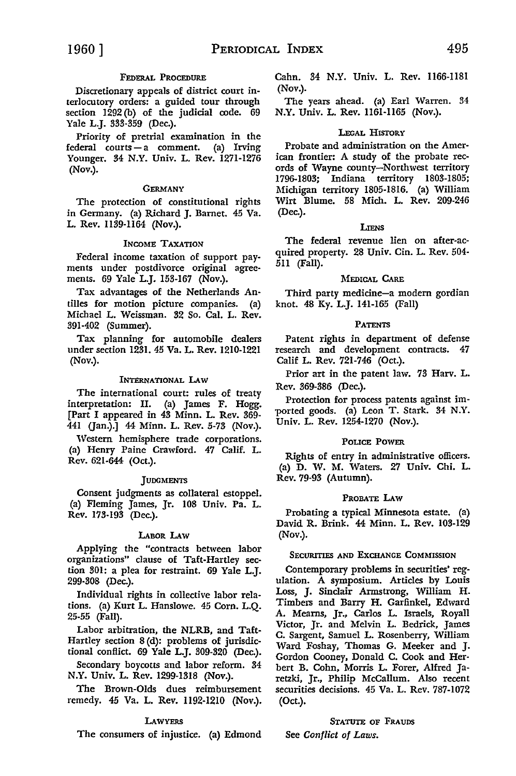# FEDERAL PROCEDURE

Discretionary appeals of district court interlocutory orders: a guided tour through section 1292 (b) of the judicial code. 69 Yale L.J. 333-359 (Dec.).

Priority of pretrial examination in the federal courts-a comment. (a) Irving Younger. 34 N.Y. Univ. L. Rev. 1271-1276 (Nov.).

#### **GERMANY**

The protection of constitutional rights in Germany. (a) Richard J. Barnet. 45 Va. L. Rev. II39-ll64 (Nov.).

# INCOME TAXATION

Federal income taxation of support payments under postdivorce original agreements. 69 Yale L.J. 153-167 (Nov.).

Tax advantages of the Netherlands Antilles for motion picture companies. (a) Michael L. Weissman. 32 So. Cal. L. Rev. 391-402 (Summer).

Tax planning for automobile dealers under section 1231. 45 Va. L. Rev. 1210-1221 (Nov.).

# INTERNATIONAL LAW

The international court: rules of treaty interpretation: II. (a) James F. Hogg. [Part I appeared in 43 Minn. L. Rev. 369- 441 Gan.).] 44 Minn. L. Rev. 5-73 (Nov.).

Western hemisphere trade corporations. (a) Henry Paine Crawford. 47 Calif. L. Rev. 621-644 (Oct.).

# **JUDGMENTS**

Consent judgments as collateral estoppel. (a) Fleming James, Jr. 108 Univ. Pa. L. Rev. 173-193 (Dec.).

#### LABOR LAW

Applying the "contracts between labor organizations" clause of Taft-Hartley section 301: a plea for restraint. 69 Yale L.J. 299-308 (Dec.).

Individual rights in collective labor relations. (a) Kurt L. Hanslowe. 45 Corn. L.Q. 25-55 (Fall).

Labor arbitration, the NLRB, and Taft-Hartley section 8 (d): problems of jurisdictional conflict. 69 Yale L.J. 309-320 (Dec.).

Secondary boycotts and labor reform. 34 N.Y. Univ. L. Rev. 1299-1318 (Nov.).

The Brown-Olds dues reimbursement remedy. 45 Va. L. Rev. ll92-1210 (Nov.).

# **LAWYERS**

The consumers of injustice. (a) Edmond

Cahn. 34 N.Y. Univ. L. Rev. ll66-1181 (Nov.).

The years ahead. (a) Earl Warren. 34 N.Y. Univ. L. Rev. 1161-1165 (Nov.).

# LEGAL HISTORY

Probate and administration on the American frontier: A study of the probate records of Wayne county-Northwest territory 1796-1803; Indiana territory 1803-1805; Michigan territory 1805-1816. (a) William Wirt Blume. 58 Mich. L. Rev. 209-246 (Dec.).

# LIENS

The federal revenue lien on after-acquired property. 28 Univ. Cin. L. Rev. 504- 5ll (Fall).

# MEDICAL CARE

Third party medicine-a modern gordian knot. 48 Ky. L.J. 141-165 (Fall)

# PATENTS

Patent rights in department of defense research and development contracts. 47 Calif L. Rev. 721-746 (Oct.).

Prior art in the patent law. 73 Harv. L. Rev. 369-386 (Dec.).

Protection for process patents against imported goods. (a) Leon T. Stark. 34 **N.Y.**  Univ. L. Rev. 1254-1270 (Nov.).

# POLICE POWER

Rights of entry in administrative officers. (a) D. W. M. Waters. 27 Univ. Chi. L. Rev. 79-93 (Autumn).

# PROBATE LAW

Probating a typical Minnesota estate. (a) David R. Brink. 44 Minn. L. Rev. 103-129 **(Nov.).** 

# SECURITIES AND EXCHANGE COMMISSION

Contemporary problems in securities' regulation. A symposium. Articles by Louis Loss, J. Sinclair Armstrong, William H. Timbers and Barry H. Garfinkel, Edward A. Mearns, Jr., Carlos L. Israels, Royall Victor, Jr. and Melvin L. Bedrick, James C. Sargent, Samuel L. Rosenberry, William Ward Foshay, Thomas G. Meeker and J. Gordon Cooney, Donald C. Cook and Herbert B. Cohn, Morris L. Forer, Alfred Jaretzki, Jr., Philip McCallum. Also recent securities decisions. 45 Va. L. Rev. 787-1072 (Oct.).

# STATUTE OF FRAUDS

See *Conflict of Laws.*